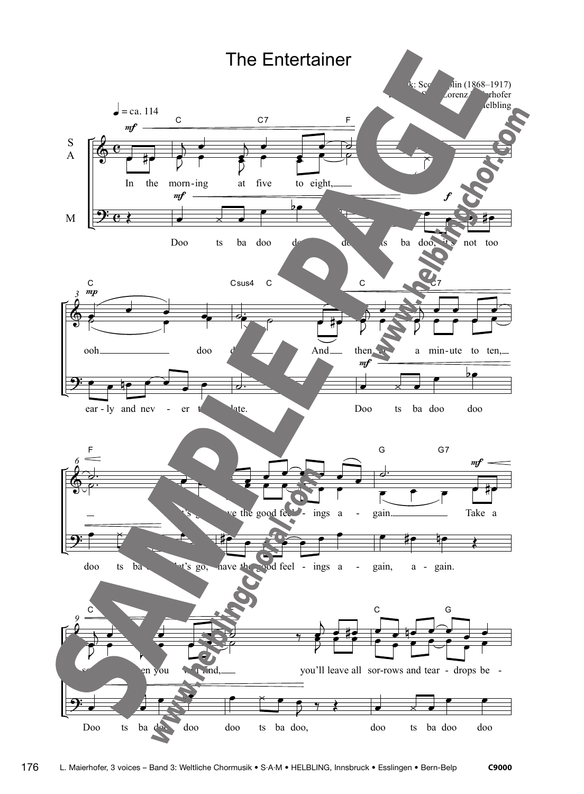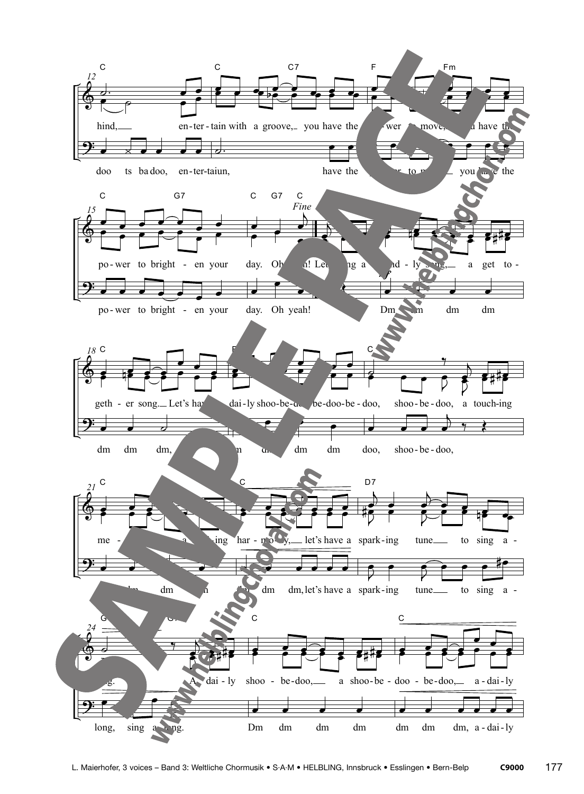